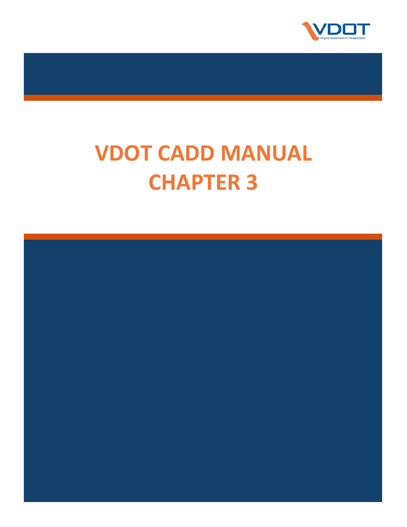

# **VDOT CADD MANUAL CHAPTER 3**

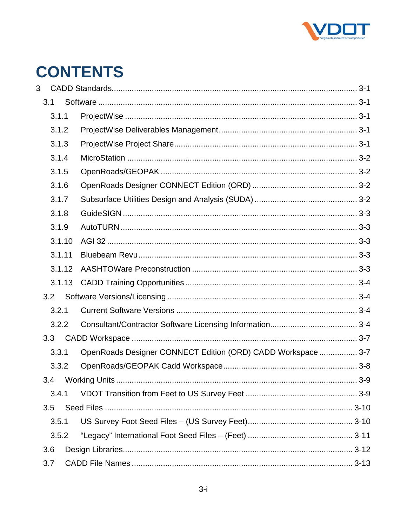

# **CONTENTS**

| 3   |        |  |                                                              |          |
|-----|--------|--|--------------------------------------------------------------|----------|
|     | 3.1    |  |                                                              |          |
|     | 3.1.1  |  |                                                              |          |
|     | 3.1.2  |  |                                                              |          |
|     | 3.1.3  |  |                                                              |          |
|     | 3.1.4  |  |                                                              |          |
|     | 3.1.5  |  |                                                              |          |
|     | 3.1.6  |  |                                                              |          |
|     | 3.1.7  |  |                                                              |          |
|     | 3.1.8  |  |                                                              |          |
|     | 3.1.9  |  |                                                              |          |
|     | 3.1.10 |  |                                                              |          |
|     | 3.1.11 |  |                                                              |          |
|     | 3.1.12 |  |                                                              |          |
|     | 3.1.13 |  |                                                              |          |
|     | 3.2    |  |                                                              |          |
|     | 3.2.1  |  |                                                              |          |
|     | 3.2.2  |  |                                                              |          |
| 3.3 |        |  |                                                              |          |
|     | 3.3.1  |  | OpenRoads Designer CONNECT Edition (ORD) CADD Workspace  3-7 |          |
|     | 3.3.2  |  |                                                              |          |
|     |        |  |                                                              | $ 3 - 9$ |
|     | 3.4.1  |  |                                                              |          |
|     | 3.5    |  |                                                              |          |
|     | 3.5.1  |  |                                                              |          |
|     | 3.5.2  |  |                                                              |          |
| 3.6 |        |  |                                                              |          |
|     | 3.7    |  |                                                              |          |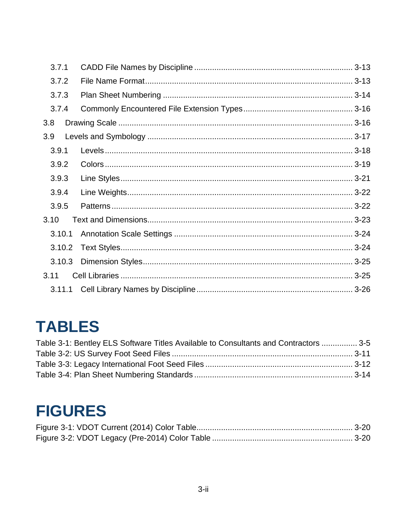| 3.7.1  |  |
|--------|--|
| 3.7.2  |  |
| 3.7.3  |  |
| 3.7.4  |  |
| 3.8    |  |
| 3.9    |  |
| 3.9.1  |  |
| 3.9.2  |  |
| 3.9.3  |  |
| 3.9.4  |  |
| 3.9.5  |  |
| 3.10   |  |
| 3.10.1 |  |
| 3.10.2 |  |
| 3.10.3 |  |
| 3.11   |  |
|        |  |

# **TABLES**

| Table 3-1: Bentley ELS Software Titles Available to Consultants and Contractors  3-5 |  |
|--------------------------------------------------------------------------------------|--|
|                                                                                      |  |
|                                                                                      |  |
|                                                                                      |  |

# **FIGURES**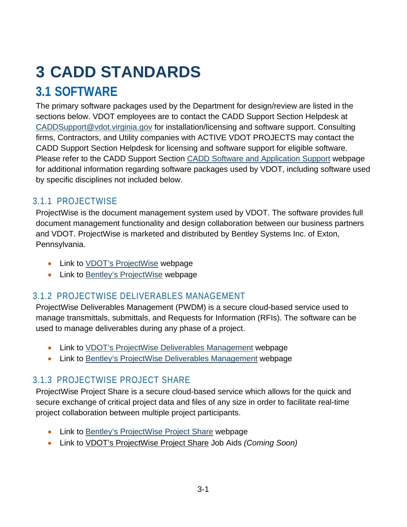# <span id="page-3-0"></span>**3 CADD STANDARDS**

# <span id="page-3-1"></span>**3.1 SOFTWARE**

The primary software packages used by the Department for design/review are listed in the sections below. VDOT employees are to contact the CADD Support Section Helpdesk at [CADDSupport@vdot.virginia.gov](mailto:CADDSupport@vdot.virginia.gov) for installation/licensing and software support. Consulting firms, Contractors, and Utility companies with ACTIVE VDOT PROJECTS may contact the CADD Support Section Helpdesk for licensing and software support for eligible software. Please refer to the CADD Support Section [CADD Software and Application Support](http://www.virginiadot.org/business/locdes/cadd_software_and_applications_support.asp) webpage for additional information regarding software packages used by VDOT, including software used by specific disciplines not included below.

#### <span id="page-3-2"></span>3.1.1 PROJECTWISE

ProjectWise is the document management system used by VDOT. The software provides full document management functionality and design collaboration between our business partners and VDOT. ProjectWise is marketed and distributed by Bentley Systems Inc. of Exton, Pennsylvania.

- Link to [VDOT's ProjectWise](http://www.virginiadot.org/business/locdes/projectwise.asp) webpage
- Link to [Bentley's ProjectWise](https://www.bentley.com/en/products/brands/projectwise) webpage

## <span id="page-3-3"></span>3.1.2 PROJECTWISE DELIVERABLES MANAGEMENT

ProjectWise Deliverables Management (PWDM) is a secure cloud-based service used to manage transmittals, submittals, and Requests for Information (RFIs). The software can be used to manage deliverables during any phase of a project.

- Link to [VDOT's ProjectWise Deliverables Management](http://www.virginiadot.org/business/locdes/projectwise_deliverables_management.asp) webpage
- Link to [Bentley's ProjectWise Deliverables Management](https://www.bentley.com/en/products/product-line/project-delivery-software/projectwise-deliverables-management) webpage

## <span id="page-3-4"></span>3.1.3 PROJECTWISE PROJECT SHARE

ProjectWise Project Share is a secure cloud-based service which allows for the quick and secure exchange of critical project data and files of any size in order to facilitate real-time project collaboration between multiple project participants.

- Link to [Bentley's ProjectWise Project Share](https://www.bentley.com/en/products/product-line/project-delivery-software/projectwise-project-share) webpage
- Link to VDOT's ProjectWise Project Share Job Aids *(Coming Soon)*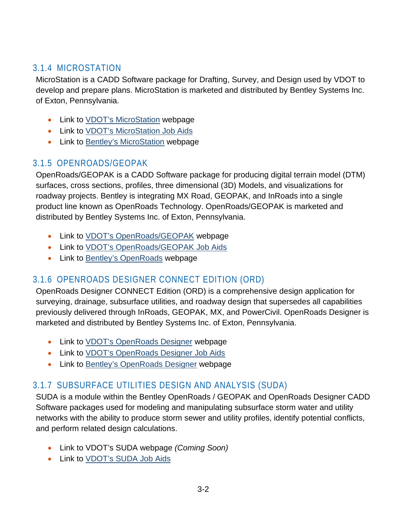#### <span id="page-4-0"></span>3.1.4 MICROSTATION

MicroStation is a CADD Software package for Drafting, Survey, and Design used by VDOT to develop and prepare plans. MicroStation is marketed and distributed by Bentley Systems Inc. of Exton, Pennsylvania.

- Link to [VDOT's MicroStation](http://www.virginiadot.org/business/locdes/microstation_and_openroadsgeopak.asp) webpage
- Link to [VDOT's MicroStation Job Aids](http://www.virginiadot.org/business/locdes/microstation_projectwise_users.asp)
- Link to [Bentley's MicroStation](https://www.bentley.com/en/products/brands/microstation) webpage

#### <span id="page-4-1"></span>3.1.5 OPENROADS/GEOPAK

OpenRoads/GEOPAK is a CADD Software package for producing digital terrain model (DTM) surfaces, cross sections, profiles, three dimensional (3D) Models, and visualizations for roadway projects. Bentley is integrating MX Road, GEOPAK, and InRoads into a single product line known as OpenRoads Technology. OpenRoads/GEOPAK is marketed and distributed by Bentley Systems Inc. of Exton, Pennsylvania.

- Link to **VDOT's OpenRoads/GEOPAK** webpage
- Link to [VDOT's OpenRoads/GEOPAK Job Aids](https://www.virginiadot.org/business/locdes/openroads_designer_job_aid.asp)
- Link to [Bentley's OpenRoads](https://www.bentley.com/en/products/brands/openroads) webpage

#### <span id="page-4-2"></span>3.1.6 OPENROADS DESIGNER CONNECT EDITION (ORD)

OpenRoads Designer CONNECT Edition (ORD) is a comprehensive design application for surveying, drainage, subsurface utilities, and roadway design that supersedes all capabilities previously delivered through InRoads, GEOPAK, MX, and PowerCivil. OpenRoads Designer is marketed and distributed by Bentley Systems Inc. of Exton, Pennsylvania.

- Link to **VDOT's OpenRoads Designer** webpage
- Link to [VDOT's OpenRoads Designer Job Aids](https://www.virginiadot.org/business/locdes/openroads_designer_job_aid.asp)
- Link to [Bentley's OpenRoads Designer](https://www.bentley.com/en/products/product-line/civil-design-software/openroads-designer) webpage

#### <span id="page-4-3"></span>3.1.7 SUBSURFACE UTILITIES DESIGN AND ANALYSIS (SUDA)

SUDA is a module within the Bentley OpenRoads / GEOPAK and OpenRoads Designer CADD Software packages used for modeling and manipulating subsurface storm water and utility networks with the ability to produce storm sewer and utility profiles, identify potential conflicts, and perform related design calculations.

- Link to VDOT's SUDA webpage *(Coming Soon)*
- Link to [VDOT's SUDA Job Aids](https://www.virginiadot.org/business/locdes/openroads_designer_job_aid.asp)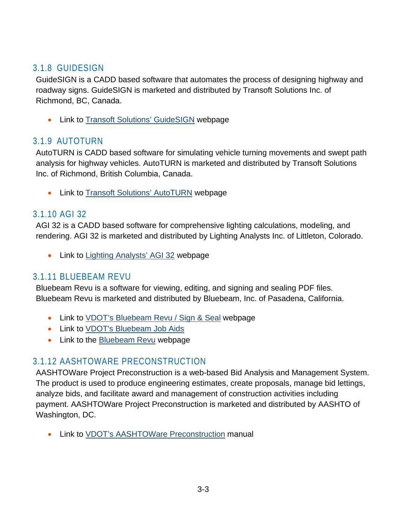#### <span id="page-5-0"></span>3.1.8 GUIDESIGN

GuideSIGN is a CADD based software that automates the process of designing highway and roadway signs. GuideSIGN is marketed and distributed by Transoft Solutions Inc. of Richmond, BC, Canada.

• Link to [Transoft Solutions' GuideSIGN](https://www.transoftsolutions.com/signage/guidesign/?setRegion=en) webpage

#### <span id="page-5-1"></span>3.1.9 AUTOTURN

AutoTURN is CADD based software for simulating vehicle turning movements and swept path analysis for highway vehicles. AutoTURN is marketed and distributed by Transoft Solutions Inc. of Richmond, British Columbia, Canada.

• Link to **Transoft Solutions' AutoTURN** webpage

#### <span id="page-5-2"></span>3.1.10 AGI 32

AGI 32 is a CADD based software for comprehensive lighting calculations, modeling, and rendering. AGI 32 is marketed and distributed by Lighting Analysts Inc. of Littleton, Colorado.

• Link to [Lighting Analysts' AGI 32](https://lightinganalysts.com/software-products/agi32/overview/) webpage

#### <span id="page-5-3"></span>3.1.11 BLUEBEAM REVU

Bluebeam Revu is a software for viewing, editing, and signing and sealing PDF files. Bluebeam Revu is marketed and distributed by Bluebeam, Inc. of Pasadena, California.

- Link to [VDOT's Bluebeam Revu / Sign & Seal](http://www.virginiadot.org/business/locdes/bluebeam_revu_sign_and_seal.asp) webpage
- Link to [VDOT's Bluebeam Job Aids](http://www.virginiadot.org/business/locdes/bluebeam_revu_integration.asp)
- Link to the [Bluebeam Revu](https://www.bluebeam.com/solutions/revu) webpage

## <span id="page-5-4"></span>3.1.12 AASHTOWARE PRECONSTRUCTION

AASHTOWare Project Preconstruction is a web-based Bid Analysis and Management System. The product is used to produce engineering estimates, create proposals, manage bid lettings, analyze bids, and facilitate award and management of construction activities including payment. AASHTOWare Project Preconstruction is marketed and distributed by AASHTO of Washington, DC.

• Link to [VDOT's AASHTOWare Preconstruction](http://www.virginiadot.org/business/resources/const/2021-03xx_4.2_Precon_Training_Manual.pdf) manual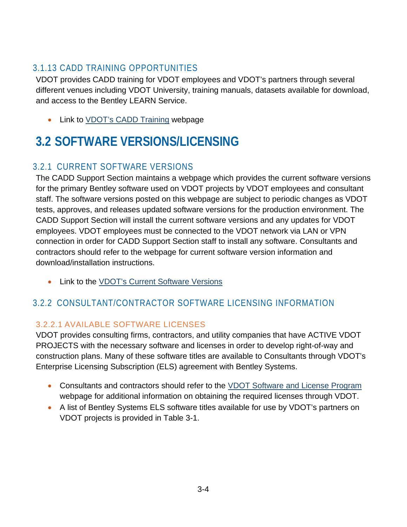#### <span id="page-6-0"></span>3.1.13 CADD TRAINING OPPORTUNITIES

VDOT provides CADD training for VDOT employees and VDOT's partners through several different venues including VDOT University, training manuals, datasets available for download, and access to the Bentley LEARN Service.

• Link to **VDOT's CADD Training** webpage

# <span id="page-6-1"></span>**3.2 SOFTWARE VERSIONS/LICENSING**

## <span id="page-6-2"></span>3.2.1 CURRENT SOFTWARE VERSIONS

The CADD Support Section maintains a webpage which provides the current software versions for the primary Bentley software used on VDOT projects by VDOT employees and consultant staff. The software versions posted on this webpage are subject to periodic changes as VDOT tests, approves, and releases updated software versions for the production environment. The CADD Support Section will install the current software versions and any updates for VDOT employees. VDOT employees must be connected to the VDOT network via LAN or VPN connection in order for CADD Support Section staff to install any software. Consultants and contractors should refer to the webpage for current software version information and download/installation instructions.

• Link to the VDOT's [Current Software Versions](https://www.virginiadot.org/business/resources/LocDes/CADDManual/File/Supported_Software.xlsx)

## <span id="page-6-3"></span>3.2.2 CONSULTANT/CONTRACTOR SOFTWARE LICENSING INFORMATION

#### 3.2.2.1 AVAILABLE SOFTWARE LICENSES

VDOT provides consulting firms, contractors, and utility companies that have ACTIVE VDOT PROJECTS with the necessary software and licenses in order to develop right-of-way and construction plans. Many of these software titles are available to Consultants through VDOT's Enterprise Licensing Subscription (ELS) agreement with Bentley Systems.

- Consultants and contractors should refer to the [VDOT Software and License Program](http://www.virginiadot.org/business/locdes/vdot-software-and-license-program.asp) webpage for additional information on obtaining the required licenses through VDOT.
- A list of Bentley Systems ELS software titles available for use by VDOT's partners on VDOT projects is provided in [Table 3-1.](#page-7-0)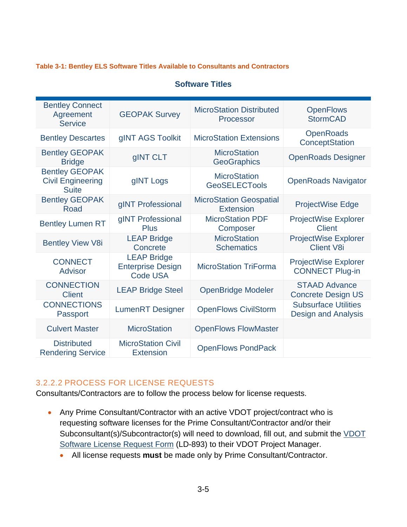#### <span id="page-7-0"></span>**Table [3-](#page-3-0)1: Bentley ELS Software Titles Available to Consultants and Contractors**

#### **Software Titles**

| <b>Bentley Connect</b><br>Agreement<br><b>Service</b>             | <b>GEOPAK Survey</b>                                              | <b>MicroStation Distributed</b><br>Processor       | <b>OpenFlows</b><br><b>StormCAD</b>                       |
|-------------------------------------------------------------------|-------------------------------------------------------------------|----------------------------------------------------|-----------------------------------------------------------|
| <b>Bentley Descartes</b>                                          | gINT AGS Toolkit                                                  | <b>MicroStation Extensions</b>                     | <b>OpenRoads</b><br>ConceptStation                        |
| <b>Bentley GEOPAK</b><br><b>Bridge</b>                            | gINT CLT                                                          | <b>MicroStation</b><br><b>GeoGraphics</b>          | <b>OpenRoads Designer</b>                                 |
| <b>Bentley GEOPAK</b><br><b>Civil Engineering</b><br><b>Suite</b> | gINT Logs                                                         | <b>MicroStation</b><br><b>GeoSELECTools</b>        | <b>OpenRoads Navigator</b>                                |
| <b>Bentley GEOPAK</b><br>Road                                     | gINT Professional                                                 | <b>MicroStation Geospatial</b><br><b>Extension</b> | <b>ProjectWise Edge</b>                                   |
| <b>Bentley Lumen RT</b>                                           | gINT Professional<br><b>Plus</b>                                  | <b>MicroStation PDF</b><br>Composer                | <b>ProjectWise Explorer</b><br><b>Client</b>              |
| <b>Bentley View V8i</b>                                           | <b>LEAP Bridge</b><br>Concrete                                    | <b>MicroStation</b><br><b>Schematics</b>           | <b>ProjectWise Explorer</b><br><b>Client V8i</b>          |
| <b>CONNECT</b><br><b>Advisor</b>                                  | <b>LEAP Bridge</b><br><b>Enterprise Design</b><br><b>Code USA</b> | <b>MicroStation TriForma</b>                       | <b>ProjectWise Explorer</b><br><b>CONNECT Plug-in</b>     |
| <b>CONNECTION</b><br><b>Client</b>                                | <b>LEAP Bridge Steel</b>                                          | <b>OpenBridge Modeler</b>                          | <b>STAAD Advance</b><br><b>Concrete Design US</b>         |
| <b>CONNECTIONS</b><br>Passport                                    | <b>LumenRT</b> Designer                                           | <b>OpenFlows CivilStorm</b>                        | <b>Subsurface Utilities</b><br><b>Design and Analysis</b> |
| <b>Culvert Master</b>                                             | <b>MicroStation</b>                                               | <b>OpenFlows FlowMaster</b>                        |                                                           |
| <b>Distributed</b><br><b>Rendering Service</b>                    | <b>MicroStation Civil</b><br><b>Extension</b>                     | <b>OpenFlows PondPack</b>                          |                                                           |

#### 3.2.2.2 PROCESS FOR LICENSE REQUESTS

Consultants/Contractors are to follow the process below for license requests.

- Any Prime Consultant/Contractor with an active VDOT project/contract who is requesting software licenses for the Prime Consultant/Contractor and/or their Subconsultant(s)/Subcontractor(s) will need to download, fill out, and submit the VDOT [Software License Request Form](http://vdotforms.vdot.virginia.gov/SearchResults.aspx?strFormNumber=LD-893) (LD-893) to their VDOT Project Manager.
	- All license requests **must** be made only by Prime Consultant/Contractor.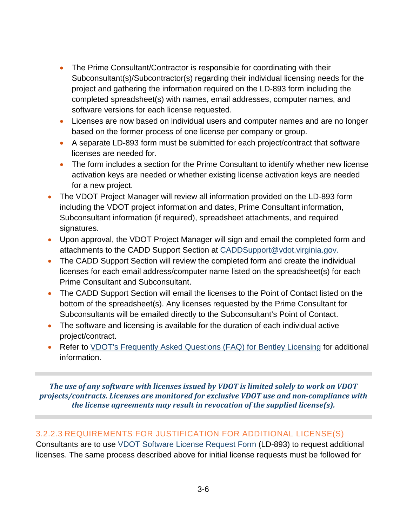- The Prime Consultant/Contractor is responsible for coordinating with their Subconsultant(s)/Subcontractor(s) regarding their individual licensing needs for the project and gathering the information required on the LD-893 form including the completed spreadsheet(s) with names, email addresses, computer names, and software versions for each license requested.
- Licenses are now based on individual users and computer names and are no longer based on the former process of one license per company or group.
- A separate LD-893 form must be submitted for each project/contract that software licenses are needed for.
- The form includes a section for the Prime Consultant to identify whether new license activation keys are needed or whether existing license activation keys are needed for a new project.
- The VDOT Project Manager will review all information provided on the LD-893 form including the VDOT project information and dates, Prime Consultant information, Subconsultant information (if required), spreadsheet attachments, and required signatures.
- Upon approval, the VDOT Project Manager will sign and email the completed form and attachments to the CADD Support Section at [CADDSupport@vdot.virginia.gov.](mailto:CADDSupport@vdot.virginia.gov?subject=Software%20License%20Request)
- The CADD Support Section will review the completed form and create the individual licenses for each email address/computer name listed on the spreadsheet(s) for each Prime Consultant and Subconsultant.
- The CADD Support Section will email the licenses to the Point of Contact listed on the bottom of the spreadsheet(s). Any licenses requested by the Prime Consultant for Subconsultants will be emailed directly to the Subconsultant's Point of Contact.
- The software and licensing is available for the duration of each individual active project/contract.
- Refer to [VDOT's Frequently Asked Questions \(FAQ\) for Bentley Licensing](http://www.virginiadot.org/business/locdes/faq_for_bentley_licensing.asp) for additional information.

*The use of any software with licenses issued by VDOT is limited solely to work on VDOT projects/contracts. Licenses are monitored for exclusive VDOT use and non-compliance with the license agreements may result in revocation of the supplied license(s).*

#### 3.2.2.3 REQUIREMENTS FOR JUSTIFICATION FOR ADDITIONAL LICENSE(S)

Consultants are to use [VDOT Software License Request Form](http://vdotforms.vdot.virginia.gov/SearchResults.aspx?strFormNumber=LD-893) (LD-893) to request additional licenses. The same process described above for initial license requests must be followed for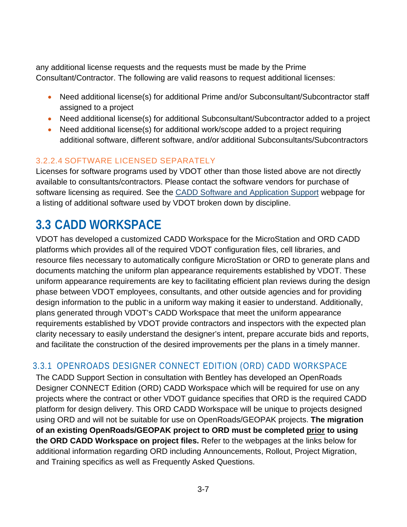any additional license requests and the requests must be made by the Prime Consultant/Contractor. The following are valid reasons to request additional licenses:

- Need additional license(s) for additional Prime and/or Subconsultant/Subcontractor staff assigned to a project
- Need additional license(s) for additional Subconsultant/Subcontractor added to a project
- Need additional license(s) for additional work/scope added to a project requiring additional software, different software, and/or additional Subconsultants/Subcontractors

#### 3.2.2.4 SOFTWARE LICENSED SEPARATELY

Licenses for software programs used by VDOT other than those listed above are not directly available to consultants/contractors. Please contact the software vendors for purchase of software licensing as required. See the [CADD Software and Application Support](http://www.virginiadot.org/business/locdes/cadd_software_and_applications_support.asp) webpage for a listing of additional software used by VDOT broken down by discipline.

## <span id="page-9-0"></span>**3.3 CADD WORKSPACE**

VDOT has developed a customized CADD Workspace for the MicroStation and ORD CADD platforms which provides all of the required VDOT configuration files, cell libraries, and resource files necessary to automatically configure MicroStation or ORD to generate plans and documents matching the uniform plan appearance requirements established by VDOT. These uniform appearance requirements are key to facilitating efficient plan reviews during the design phase between VDOT employees, consultants, and other outside agencies and for providing design information to the public in a uniform way making it easier to understand. Additionally, plans generated through VDOT's CADD Workspace that meet the uniform appearance requirements established by VDOT provide contractors and inspectors with the expected plan clarity necessary to easily understand the designer's intent, prepare accurate bids and reports, and facilitate the construction of the desired improvements per the plans in a timely manner.

#### <span id="page-9-1"></span>3.3.1 OPENROADS DESIGNER CONNECT EDITION (ORD) CADD WORKSPACE

The CADD Support Section in consultation with Bentley has developed an OpenRoads Designer CONNECT Edition (ORD) CADD Workspace which will be required for use on any projects where the contract or other VDOT guidance specifies that ORD is the required CADD platform for design delivery. This ORD CADD Workspace will be unique to projects designed using ORD and will not be suitable for use on OpenRoads/GEOPAK projects. **The migration of an existing OpenRoads/GEOPAK project to ORD must be completed prior to using the ORD CADD Workspace on project files.** Refer to the webpages at the links below for additional information regarding ORD including Announcements, Rollout, Project Migration, and Training specifics as well as Frequently Asked Questions.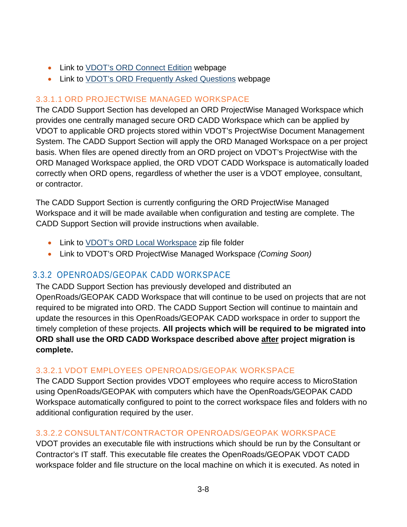- Link to [VDOT's ORD Connect Edition](http://www.virginiadot.org/business/locdes/openroads_designer_rollout.asp) webpage
- Link to [VDOT's ORD Frequently Asked Questions](http://www.virginiadot.org/business/locdes/openroads_faq.asp) webpage

#### 3.3.1.1 ORD PROJECTWISE MANAGED WORKSPACE

The CADD Support Section has developed an ORD ProjectWise Managed Workspace which provides one centrally managed secure ORD CADD Workspace which can be applied by VDOT to applicable ORD projects stored within VDOT's ProjectWise Document Management System. The CADD Support Section will apply the ORD Managed Workspace on a per project basis. When files are opened directly from an ORD project on VDOT's ProjectWise with the ORD Managed Workspace applied, the ORD VDOT CADD Workspace is automatically loaded correctly when ORD opens, regardless of whether the user is a VDOT employee, consultant, or contractor.

The CADD Support Section is currently configuring the ORD ProjectWise Managed Workspace and it will be made available when configuration and testing are complete. The CADD Support Section will provide instructions when available.

- Link to [VDOT's ORD Local Workspace](https://projectwiseconnector.azurewebsites.net/api/GetProcessGmailLink?code=zBBTVzTLoCXyxzYs/eme6FmqAnOnQBRHQHnNHl55aNpOS59HfWapQA==&timeout=3000&pwlink=pw://WAP04113.cov.virginia.gov:PW/Documents/P%7b89f902b5-e073-48ef-90f4-5865184fd934%7d/) zip file folder
- Link to VDOT's ORD ProjectWise Managed Workspace *(Coming Soon)*

## <span id="page-10-0"></span>3.3.2 OPENROADS/GEOPAK CADD WORKSPACE

The CADD Support Section has previously developed and distributed an OpenRoads/GEOPAK CADD Workspace that will continue to be used on projects that are not required to be migrated into ORD. The CADD Support Section will continue to maintain and update the resources in this OpenRoads/GEOPAK CADD workspace in order to support the timely completion of these projects. **All projects which will be required to be migrated into ORD shall use the ORD CADD Workspace described above after project migration is complete.**

#### 3.3.2.1 VDOT EMPLOYEES OPENROADS/GEOPAK WORKSPACE

The CADD Support Section provides VDOT employees who require access to MicroStation using OpenRoads/GEOPAK with computers which have the OpenRoads/GEOPAK CADD Workspace automatically configured to point to the correct workspace files and folders with no additional configuration required by the user.

#### 3.3.2.2 CONSULTANT/CONTRACTOR OPENROADS/GEOPAK WORKSPACE

VDOT provides an executable file with instructions which should be run by the Consultant or Contractor's IT staff. This executable file creates the OpenRoads/GEOPAK VDOT CADD workspace folder and file structure on the local machine on which it is executed. As noted in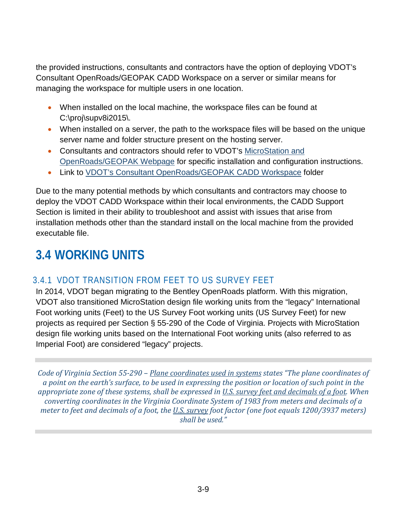the provided instructions, consultants and contractors have the option of deploying VDOT's Consultant OpenRoads/GEOPAK CADD Workspace on a server or similar means for managing the workspace for multiple users in one location.

- When installed on the local machine, the workspace files can be found at C:\proj\supv8i2015\.
- When installed on a server, the path to the workspace files will be based on the unique server name and folder structure present on the hosting server.
- Consultants and contractors should refer to VDOT's MicroStation and [OpenRoads/GEOPAK Webpage](http://www.virginiadot.org/business/locdes/microstation_and_openroadsgeopak.asp) for specific installation and configuration instructions.
- Link to [VDOT's Consultant OpenRoads/GEOPAK CADD Workspace](https://projectwiseconnector.azurewebsites.net/api/GetProcessGmailLink?code=zBBTVzTLoCXyxzYs/eme6FmqAnOnQBRHQHnNHl55aNpOS59HfWapQA==&timeout=3000&pwlink=pw://WAP04113.cov.virginia.gov:PW/Documents/P%7b7b75143c-5ce8-444b-80df-b93d124259ab%7d/) folder

Due to the many potential methods by which consultants and contractors may choose to deploy the VDOT CADD Workspace within their local environments, the CADD Support Section is limited in their ability to troubleshoot and assist with issues that arise from installation methods other than the standard install on the local machine from the provided executable file.

# <span id="page-11-0"></span>**3.4 WORKING UNITS**

## <span id="page-11-1"></span>3.4.1 VDOT TRANSITION FROM FEET TO US SURVEY FEET

In 2014, VDOT began migrating to the Bentley OpenRoads platform. With this migration, VDOT also transitioned MicroStation design file working units from the "legacy" International Foot working units (Feet) to the US Survey Foot working units (US Survey Feet) for new projects as required per Section § 55-290 of the Code of Virginia. Projects with MicroStation design file working units based on the International Foot working units (also referred to as Imperial Foot) are considered "legacy" projects.

*Code of Virginia Section 55-290 – Plane coordinates used in systems states "The plane coordinates of a point on the earth's surface, to be used in expressing the position or location of such point in the appropriate zone of these systems, shall be expressed in U.S. survey feet and decimals of a foot. When converting coordinates in the Virginia Coordinate System of 1983 from meters and decimals of a meter to feet and decimals of a foot, the U.S. survey foot factor (one foot equals 1200/3937 meters) shall be used."*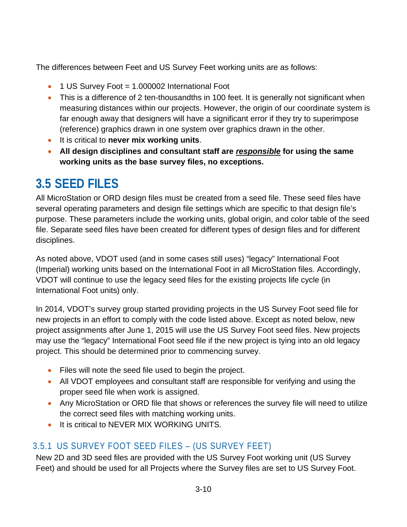The differences between Feet and US Survey Feet working units are as follows:

- 1 US Survey Foot = 1.000002 International Foot
- This is a difference of 2 ten-thousandths in 100 feet. It is generally not significant when measuring distances within our projects. However, the origin of our coordinate system is far enough away that designers will have a significant error if they try to superimpose (reference) graphics drawn in one system over graphics drawn in the other.
- It is critical to **never mix working units**.
- **All design disciplines and consultant staff are** *responsible* **for using the same working units as the base survey files, no exceptions.**

# <span id="page-12-0"></span>**3.5 SEED FILES**

All MicroStation or ORD design files must be created from a seed file. These seed files have several operating parameters and design file settings which are specific to that design file's purpose. These parameters include the working units, global origin, and color table of the seed file. Separate seed files have been created for different types of design files and for different disciplines.

As noted above, VDOT used (and in some cases still uses) "legacy" International Foot (Imperial) working units based on the International Foot in all MicroStation files. Accordingly, VDOT will continue to use the legacy seed files for the existing projects life cycle (in International Foot units) only.

In 2014, VDOT's survey group started providing projects in the US Survey Foot seed file for new projects in an effort to comply with the code listed above. Except as noted below, new project assignments after June 1, 2015 will use the US Survey Foot seed files. New projects may use the "legacy" International Foot seed file if the new project is tying into an old legacy project. This should be determined prior to commencing survey.

- Files will note the seed file used to begin the project.
- All VDOT employees and consultant staff are responsible for verifying and using the proper seed file when work is assigned.
- Any MicroStation or ORD file that shows or references the survey file will need to utilize the correct seed files with matching working units.
- It is critical to NEVER MIX WORKING UNITS.

## <span id="page-12-1"></span>3.5.1 US SURVEY FOOT SEED FILES – (US SURVEY FEET)

New 2D and 3D seed files are provided with the US Survey Foot working unit (US Survey Feet) and should be used for all Projects where the Survey files are set to US Survey Foot.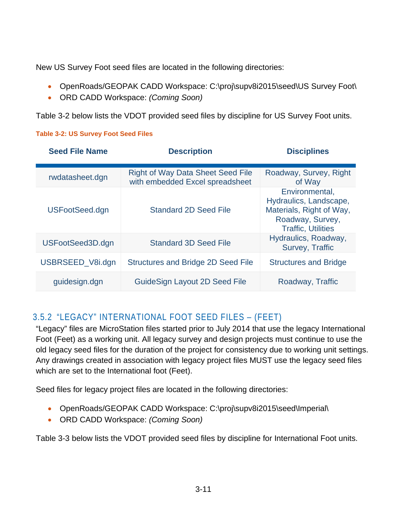New US Survey Foot seed files are located in the following directories:

- OpenRoads/GEOPAK CADD Workspace: C:\proj\supv8i2015\seed\US Survey Foot\
- ORD CADD Workspace: *(Coming Soon)*

[Table 3-2](#page-13-1) below lists the VDOT provided seed files by discipline for US Survey Foot units.

#### <span id="page-13-1"></span>**Table [3-](#page-3-0)2: US Survey Foot Seed Files**

| <b>Seed File Name</b> | <b>Description</b>                                                          | <b>Disciplines</b>                                                                                                    |  |
|-----------------------|-----------------------------------------------------------------------------|-----------------------------------------------------------------------------------------------------------------------|--|
| rwdatasheet.dgn       | <b>Right of Way Data Sheet Seed File</b><br>with embedded Excel spreadsheet | Roadway, Survey, Right<br>of Way                                                                                      |  |
| USFootSeed.dgn        | <b>Standard 2D Seed File</b>                                                | Environmental,<br>Hydraulics, Landscape,<br>Materials, Right of Way,<br>Roadway, Survey,<br><b>Traffic, Utilities</b> |  |
| USFootSeed3D.dgn      | <b>Standard 3D Seed File</b>                                                | Hydraulics, Roadway,<br>Survey, Traffic                                                                               |  |
| USBRSEED_V8i.dgn      | <b>Structures and Bridge 2D Seed File</b>                                   | <b>Structures and Bridge</b>                                                                                          |  |
| guidesign.dgn         | <b>GuideSign Layout 2D Seed File</b>                                        | Roadway, Traffic                                                                                                      |  |

## <span id="page-13-0"></span>3.5.2 "LEGACY" INTERNATIONAL FOOT SEED FILES – (FEET)

"Legacy" files are MicroStation files started prior to July 2014 that use the legacy International Foot (Feet) as a working unit. All legacy survey and design projects must continue to use the old legacy seed files for the duration of the project for consistency due to working unit settings. Any drawings created in association with legacy project files MUST use the legacy seed files which are set to the International foot (Feet).

Seed files for legacy project files are located in the following directories:

- OpenRoads/GEOPAK CADD Workspace: C:\proj\supv8i2015\seed\Imperial\
- ORD CADD Workspace: *(Coming Soon)*

[Table 3-3](#page-14-1) below lists the VDOT provided seed files by discipline for International Foot units.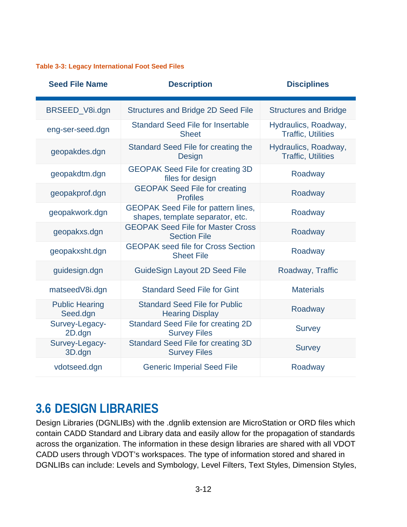#### <span id="page-14-1"></span>**Table [3-](#page-3-0)3: Legacy International Foot Seed Files**

| <b>Seed File Name</b>             | <b>Description</b>                                                             | <b>Disciplines</b>                                |
|-----------------------------------|--------------------------------------------------------------------------------|---------------------------------------------------|
| BRSEED_V8i.dgn                    | <b>Structures and Bridge 2D Seed File</b>                                      | <b>Structures and Bridge</b>                      |
| eng-ser-seed.dgn                  | <b>Standard Seed File for Insertable</b><br><b>Sheet</b>                       | Hydraulics, Roadway,<br><b>Traffic, Utilities</b> |
| geopakdes.dgn                     | Standard Seed File for creating the<br><b>Design</b>                           | Hydraulics, Roadway,<br><b>Traffic, Utilities</b> |
| geopakdtm.dgn                     | <b>GEOPAK Seed File for creating 3D</b><br>files for design                    | Roadway                                           |
| geopakprof.dgn                    | <b>GEOPAK Seed File for creating</b><br><b>Profiles</b>                        | Roadway                                           |
| geopakwork.dgn                    | <b>GEOPAK Seed File for pattern lines,</b><br>shapes, template separator, etc. | Roadway                                           |
| geopakxs.dgn                      | <b>GEOPAK Seed File for Master Cross</b><br><b>Section File</b>                | Roadway                                           |
| geopakxsht.dgn                    | <b>GEOPAK seed file for Cross Section</b><br><b>Sheet File</b>                 | Roadway                                           |
| guidesign.dgn                     | <b>GuideSign Layout 2D Seed File</b>                                           | Roadway, Traffic                                  |
| matseedV8i.dgn                    | <b>Standard Seed File for Gint</b>                                             | <b>Materials</b>                                  |
| <b>Public Hearing</b><br>Seed.dgn | <b>Standard Seed File for Public</b><br><b>Hearing Display</b>                 | Roadway                                           |
| Survey-Legacy-<br>2D.dgn          | <b>Standard Seed File for creating 2D</b><br><b>Survey Files</b>               | <b>Survey</b>                                     |
| Survey-Legacy-<br>3D.dgn          | <b>Standard Seed File for creating 3D</b><br><b>Survey Files</b>               | <b>Survey</b>                                     |
| vdotseed.dgn                      | <b>Generic Imperial Seed File</b>                                              | Roadway                                           |

## <span id="page-14-0"></span>**3.6 DESIGN LIBRARIES**

Design Libraries (DGNLIBs) with the .dgnlib extension are MicroStation or ORD files which contain CADD Standard and Library data and easily allow for the propagation of standards across the organization. The information in these design libraries are shared with all VDOT CADD users through VDOT's workspaces. The type of information stored and shared in DGNLIBs can include: Levels and Symbology, Level Filters, Text Styles, Dimension Styles,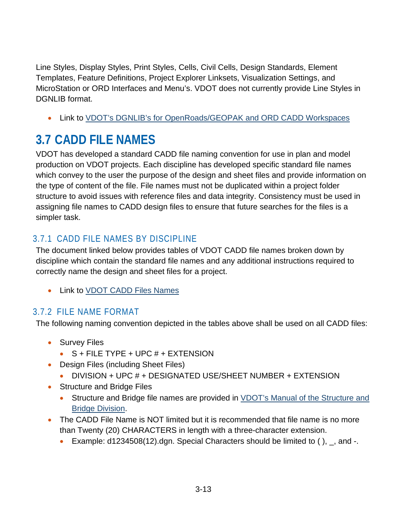Line Styles, Display Styles, Print Styles, Cells, Civil Cells, Design Standards, Element Templates, Feature Definitions, Project Explorer Linksets, Visualization Settings, and MicroStation or ORD Interfaces and Menu's. VDOT does not currently provide Line Styles in DGNLIB format.

Link to VDOT's DGNLIB's [for OpenRoads/GEOPAK and ORD CADD Workspaces](https://www.virginiadot.org/business/resources/LocDes/CADDManual/File/Design_Library_DGNLIB_Names_and_Descriptions.xlsx)

# <span id="page-15-0"></span>**3.7 CADD FILE NAMES**

VDOT has developed a standard CADD file naming convention for use in plan and model production on VDOT projects. Each discipline has developed specific standard file names which convey to the user the purpose of the design and sheet files and provide information on the type of content of the file. File names must not be duplicated within a project folder structure to avoid issues with reference files and data integrity. Consistency must be used in assigning file names to CADD design files to ensure that future searches for the files is a simpler task.

## <span id="page-15-1"></span>3.7.1 CADD FILE NAMES BY DISCIPLINE

The document linked below provides tables of VDOT CADD file names broken down by discipline which contain the standard file names and any additional instructions required to correctly name the design and sheet files for a project.

• Link to **VDOT CADD Files Names** 

## <span id="page-15-2"></span>3.7.2 FILE NAME FORMAT

The following naming convention depicted in the tables above shall be used on all CADD files:

- Survey Files
	- $\bullet$  S + FILE TYPE + UPC  $#$  + EXTENSION
- Design Files (including Sheet Files)
	- DIVISION + UPC # + DESIGNATED USE/SHEET NUMBER + EXTENSION
- Structure and Bridge Files
	- Structure and Bridge file names are provided in VDOT's Manual of the Structure and [Bridge Division.](http://www.virginiadot.org/business/resources/bridge/Manuals/Part2/Chapter1.pdf)
- The CADD File Name is NOT limited but it is recommended that file name is no more than Twenty (20) CHARACTERS in length with a three-character extension.
	- Example:  $d1234508(12)$ .dgn. Special Characters should be limited to (),  $\overline{a}$ , and -.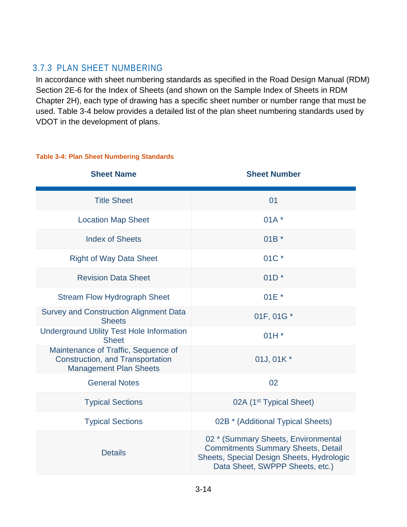#### <span id="page-16-0"></span>3.7.3 PLAN SHEET NUMBERING

In accordance with sheet numbering standards as specified in the Road Design Manual (RDM) Section 2E-6 for the Index of Sheets (and shown on the Sample Index of Sheets in RDM Chapter 2H), each type of drawing has a specific sheet number or number range that must be used. [Table 3-4](#page-16-1) below provides a detailed list of the plan sheet numbering standards used by VDOT in the development of plans.

#### <span id="page-16-1"></span>**Table [3-](#page-3-0)4: Plan Sheet Numbering Standards**

| <b>Sheet Name</b>                                                                                               | <b>Sheet Number</b>                                                                                                                                              |
|-----------------------------------------------------------------------------------------------------------------|------------------------------------------------------------------------------------------------------------------------------------------------------------------|
| <b>Title Sheet</b>                                                                                              | 01                                                                                                                                                               |
| <b>Location Map Sheet</b>                                                                                       | $01A^*$                                                                                                                                                          |
| <b>Index of Sheets</b>                                                                                          | $01B^*$                                                                                                                                                          |
| <b>Right of Way Data Sheet</b>                                                                                  | 01C *                                                                                                                                                            |
| <b>Revision Data Sheet</b>                                                                                      | $01D^*$                                                                                                                                                          |
| <b>Stream Flow Hydrograph Sheet</b>                                                                             | $01E^*$                                                                                                                                                          |
| <b>Survey and Construction Alignment Data</b><br><b>Sheets</b>                                                  | 01F, 01G *                                                                                                                                                       |
| <b>Underground Utility Test Hole Information</b><br><b>Sheet</b>                                                | $01H*$                                                                                                                                                           |
| Maintenance of Traffic, Sequence of<br><b>Construction, and Transportation</b><br><b>Management Plan Sheets</b> | 01J, 01K *                                                                                                                                                       |
| <b>General Notes</b>                                                                                            | 02                                                                                                                                                               |
| <b>Typical Sections</b>                                                                                         | 02A (1 <sup>st</sup> Typical Sheet)                                                                                                                              |
| <b>Typical Sections</b>                                                                                         | 02B * (Additional Typical Sheets)                                                                                                                                |
| <b>Details</b>                                                                                                  | 02 * (Summary Sheets, Environmental<br><b>Commitments Summary Sheets, Detail</b><br>Sheets, Special Design Sheets, Hydrologic<br>Data Sheet, SWPPP Sheets, etc.) |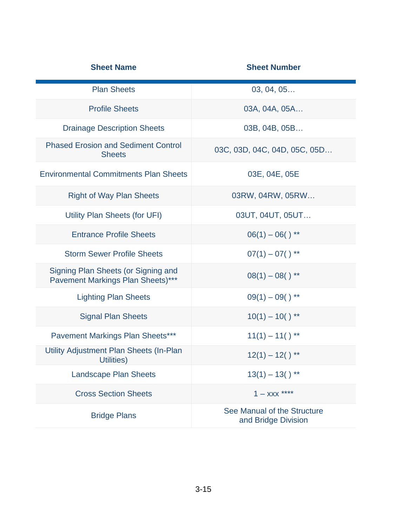| <b>Sheet Name</b>                                                        | <b>Sheet Number</b>                                |
|--------------------------------------------------------------------------|----------------------------------------------------|
| <b>Plan Sheets</b>                                                       | 03, 04, 05                                         |
| <b>Profile Sheets</b>                                                    | 03A, 04A, 05A                                      |
| <b>Drainage Description Sheets</b>                                       | 03B, 04B, 05B                                      |
| <b>Phased Erosion and Sediment Control</b><br><b>Sheets</b>              | 03C, 03D, 04C, 04D, 05C, 05D                       |
| <b>Environmental Commitments Plan Sheets</b>                             | 03E, 04E, 05E                                      |
| <b>Right of Way Plan Sheets</b>                                          | 03RW, 04RW, 05RW                                   |
| Utility Plan Sheets (for UFI)                                            | 03UT, 04UT, 05UT                                   |
| <b>Entrance Profile Sheets</b>                                           | $06(1) - 06()$ **                                  |
| <b>Storm Sewer Profile Sheets</b>                                        | $07(1) - 07()$ **                                  |
| Signing Plan Sheets (or Signing and<br>Pavement Markings Plan Sheets)*** | $08(1) - 08()$ **                                  |
| <b>Lighting Plan Sheets</b>                                              | $09(1) - 09()$ **                                  |
| <b>Signal Plan Sheets</b>                                                | $10(1) - 10()$ **                                  |
| <b>Pavement Markings Plan Sheets***</b>                                  | $11(1) - 11()$ **                                  |
| Utility Adjustment Plan Sheets (In-Plan<br><b>Example 19 Utilities</b> ) | $12(1) - 12()$ **                                  |
| <b>Landscape Plan Sheets</b>                                             | $13(1) - 13($ ) **                                 |
| <b>Cross Section Sheets</b>                                              | $1 - XXX$ ****                                     |
| <b>Bridge Plans</b>                                                      | See Manual of the Structure<br>and Bridge Division |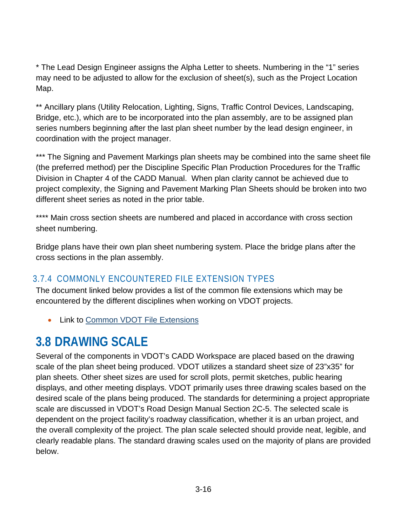\* The Lead Design Engineer assigns the Alpha Letter to sheets. Numbering in the "1" series may need to be adjusted to allow for the exclusion of sheet(s), such as the Project Location Map.

\*\* Ancillary plans (Utility Relocation, Lighting, Signs, Traffic Control Devices, Landscaping, Bridge, etc.), which are to be incorporated into the plan assembly, are to be assigned plan series numbers beginning after the last plan sheet number by the lead design engineer, in coordination with the project manager.

\*\*\* The Signing and Pavement Markings plan sheets may be combined into the same sheet file (the preferred method) per the Discipline Specific Plan Production Procedures for the Traffic Division in Chapter 4 of the CADD Manual. When plan clarity cannot be achieved due to project complexity, the Signing and Pavement Marking Plan Sheets should be broken into two different sheet series as noted in the prior table.

\*\*\*\* Main cross section sheets are numbered and placed in accordance with cross section sheet numbering.

Bridge plans have their own plan sheet numbering system. Place the bridge plans after the cross sections in the plan assembly.

## <span id="page-18-0"></span>3.7.4 COMMONLY ENCOUNTERED FILE EXTENSION TYPES

The document linked below provides a list of the common file extensions which may be encountered by the different disciplines when working on VDOT projects.

• Link to [Common VDOT](https://www.virginiadot.org/business/resources/LocDes/CADDManual/File/Common_VDOT_File_Extensions.pdf) File Extensions

# <span id="page-18-1"></span>**3.8 DRAWING SCALE**

Several of the components in VDOT's CADD Workspace are placed based on the drawing scale of the plan sheet being produced. VDOT utilizes a standard sheet size of 23"x35" for plan sheets. Other sheet sizes are used for scroll plots, permit sketches, public hearing displays, and other meeting displays. VDOT primarily uses three drawing scales based on the desired scale of the plans being produced. The standards for determining a project appropriate scale are discussed in VDOT's Road Design Manual Section 2C-5. The selected scale is dependent on the project facility's roadway classification, whether it is an urban project, and the overall complexity of the project. The plan scale selected should provide neat, legible, and clearly readable plans. The standard drawing scales used on the majority of plans are provided below.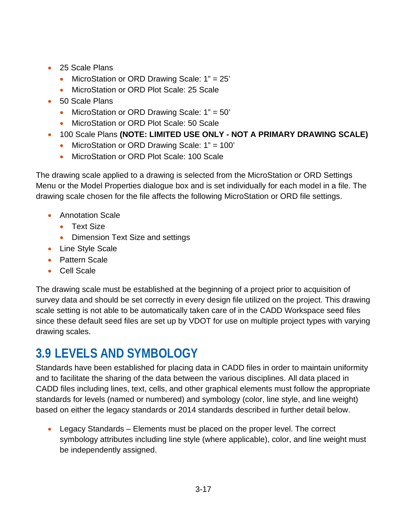- 25 Scale Plans
	- MicroStation or ORD Drawing Scale: 1" = 25'
	- MicroStation or ORD Plot Scale: 25 Scale
- 50 Scale Plans
	- MicroStation or ORD Drawing Scale: 1" = 50'
	- MicroStation or ORD Plot Scale: 50 Scale
- 100 Scale Plans **(NOTE: LIMITED USE ONLY - NOT A PRIMARY DRAWING SCALE)**
	- MicroStation or ORD Drawing Scale: 1" = 100'
	- MicroStation or ORD Plot Scale: 100 Scale

The drawing scale applied to a drawing is selected from the MicroStation or ORD Settings Menu or the Model Properties dialogue box and is set individually for each model in a file. The drawing scale chosen for the file affects the following MicroStation or ORD file settings.

- Annotation Scale
	- Text Size
	- Dimension Text Size and settings
- Line Style Scale
- Pattern Scale
- Cell Scale

The drawing scale must be established at the beginning of a project prior to acquisition of survey data and should be set correctly in every design file utilized on the project. This drawing scale setting is not able to be automatically taken care of in the CADD Workspace seed files since these default seed files are set up by VDOT for use on multiple project types with varying drawing scales.

# <span id="page-19-0"></span>**3.9 LEVELS AND SYMBOLOGY**

Standards have been established for placing data in CADD files in order to maintain uniformity and to facilitate the sharing of the data between the various disciplines. All data placed in CADD files including lines, text, cells, and other graphical elements must follow the appropriate standards for levels (named or numbered) and symbology (color, line style, and line weight) based on either the legacy standards or 2014 standards described in further detail below.

• Legacy Standards – Elements must be placed on the proper level. The correct symbology attributes including line style (where applicable), color, and line weight must be independently assigned.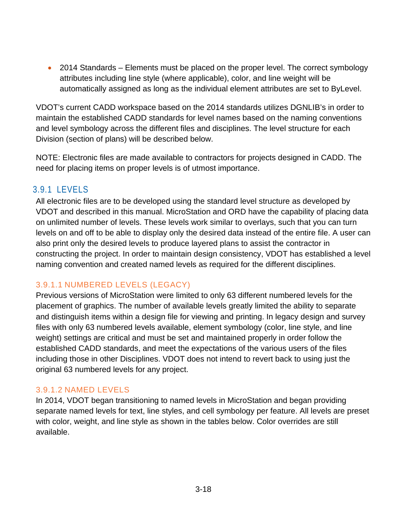• 2014 Standards – Elements must be placed on the proper level. The correct symbology attributes including line style (where applicable), color, and line weight will be automatically assigned as long as the individual element attributes are set to ByLevel.

VDOT's current CADD workspace based on the 2014 standards utilizes DGNLIB's in order to maintain the established CADD standards for level names based on the naming conventions and level symbology across the different files and disciplines. The level structure for each Division (section of plans) will be described below.

NOTE: Electronic files are made available to contractors for projects designed in CADD. The need for placing items on proper levels is of utmost importance.

#### <span id="page-20-0"></span>3.9.1 LEVELS

All electronic files are to be developed using the standard level structure as developed by VDOT and described in this manual. MicroStation and ORD have the capability of placing data on unlimited number of levels. These levels work similar to overlays, such that you can turn levels on and off to be able to display only the desired data instead of the entire file. A user can also print only the desired levels to produce layered plans to assist the contractor in constructing the project. In order to maintain design consistency, VDOT has established a level naming convention and created named levels as required for the different disciplines.

#### 3.9.1.1 NUMBERED LEVELS (LEGACY)

Previous versions of MicroStation were limited to only 63 different numbered levels for the placement of graphics. The number of available levels greatly limited the ability to separate and distinguish items within a design file for viewing and printing. In legacy design and survey files with only 63 numbered levels available, element symbology (color, line style, and line weight) settings are critical and must be set and maintained properly in order follow the established CADD standards, and meet the expectations of the various users of the files including those in other Disciplines. VDOT does not intend to revert back to using just the original 63 numbered levels for any project.

#### 3.9.1.2 NAMED LEVELS

In 2014, VDOT began transitioning to named levels in MicroStation and began providing separate named levels for text, line styles, and cell symbology per feature. All levels are preset with color, weight, and line style as shown in the tables below. Color overrides are still available.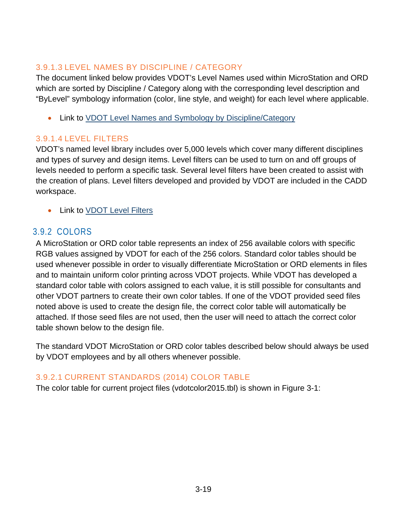#### 3.9.1.3 LEVEL NAMES BY DISCIPLINE / CATEGORY

The document linked below provides VDOT's Level Names used within MicroStation and ORD which are sorted by Discipline / Category along with the corresponding level description and "ByLevel" symbology information (color, line style, and weight) for each level where applicable.

• Link to [VDOT Level Names and Symbology by Discipline/Category](https://www.virginiadot.org/business/resources/LocDes/CADDManual/File/MicroStation_Levels.xlsx)

#### 3.9.1.4 LEVEL FILTERS

VDOT's named level library includes over 5,000 levels which cover many different disciplines and types of survey and design items. Level filters can be used to turn on and off groups of levels needed to perform a specific task. Several level filters have been created to assist with the creation of plans. Level filters developed and provided by VDOT are included in the CADD workspace.

• Link to [VDOT Level Filters](https://www.virginiadot.org/business/resources/LocDes/CADDManual/File/Level_Filters.xlsx)

#### <span id="page-21-0"></span>3.9.2 COLORS

A MicroStation or ORD color table represents an index of 256 available colors with specific RGB values assigned by VDOT for each of the 256 colors. Standard color tables should be used whenever possible in order to visually differentiate MicroStation or ORD elements in files and to maintain uniform color printing across VDOT projects. While VDOT has developed a standard color table with colors assigned to each value, it is still possible for consultants and other VDOT partners to create their own color tables. If one of the VDOT provided seed files noted above is used to create the design file, the correct color table will automatically be attached. If those seed files are not used, then the user will need to attach the correct color table shown below to the design file.

The standard VDOT MicroStation or ORD color tables described below should always be used by VDOT employees and by all others whenever possible.

#### 3.9.2.1 CURRENT STANDARDS (2014) COLOR TABLE

The color table for current project files (vdotcolor2015.tbl) is shown in [Figure 3-1:](#page-22-0)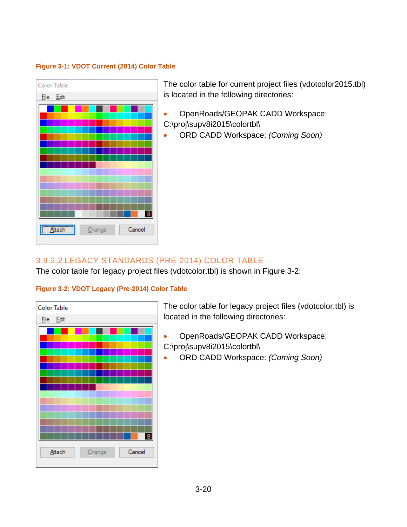#### <span id="page-22-0"></span>**Figure [3-](#page-3-0)1: VDOT Current (2014) Color Table**



The color table for current project files (vdotcolor2015.tbl) is located in the following directories:

- OpenRoads/GEOPAK CADD Workspace: C:\proj\supv8i2015\colortbl\
- ORD CADD Workspace: *(Coming Soon)*

#### 3.9.2.2 LEGACY STANDARDS (PRE-2014) COLOR TABLE

The color table for legacy project files (vdotcolor.tbl) is shown in [Figure 3-2:](#page-22-1)

#### <span id="page-22-1"></span>**Figure [3-](#page-3-0)2: VDOT Legacy (Pre-2014) Color Table**



The color table for legacy project files (vdotcolor.tbl) is located in the following directories:

- OpenRoads/GEOPAK CADD Workspace: C:\proj\supv8i2015\colortbl\
- ORD CADD Workspace: *(Coming Soon)*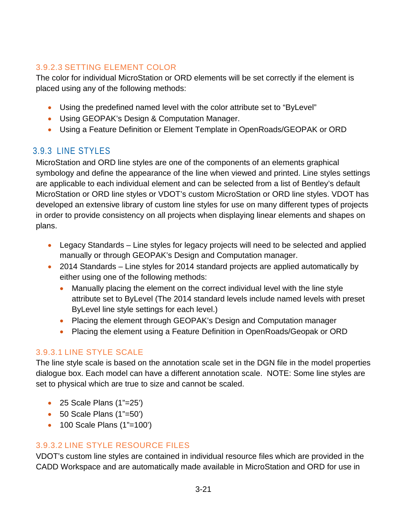#### 3.9.2.3 SETTING ELEMENT COLOR

The color for individual MicroStation or ORD elements will be set correctly if the element is placed using any of the following methods:

- Using the predefined named level with the color attribute set to "ByLevel"
- Using GEOPAK's Design & Computation Manager.
- Using a Feature Definition or Element Template in OpenRoads/GEOPAK or ORD

## <span id="page-23-0"></span>3.9.3 LINE STYLES

MicroStation and ORD line styles are one of the components of an elements graphical symbology and define the appearance of the line when viewed and printed. Line styles settings are applicable to each individual element and can be selected from a list of Bentley's default MicroStation or ORD line styles or VDOT's custom MicroStation or ORD line styles. VDOT has developed an extensive library of custom line styles for use on many different types of projects in order to provide consistency on all projects when displaying linear elements and shapes on plans.

- Legacy Standards Line styles for legacy projects will need to be selected and applied manually or through GEOPAK's Design and Computation manager.
- 2014 Standards Line styles for 2014 standard projects are applied automatically by either using one of the following methods:
	- Manually placing the element on the correct individual level with the line style attribute set to ByLevel (The 2014 standard levels include named levels with preset ByLevel line style settings for each level.)
	- Placing the element through GEOPAK's Design and Computation manager
	- Placing the element using a Feature Definition in OpenRoads/Geopak or ORD

#### 3.9.3.1 LINE STYLE SCALE

The line style scale is based on the annotation scale set in the DGN file in the model properties dialogue box. Each model can have a different annotation scale. NOTE: Some line styles are set to physical which are true to size and cannot be scaled.

- 25 Scale Plans (1"=25")
- 50 Scale Plans (1"=50")
- 100 Scale Plans (1"=100')

#### 3.9.3.2 LINE STYLE RESOURCE FILES

VDOT's custom line styles are contained in individual resource files which are provided in the CADD Workspace and are automatically made available in MicroStation and ORD for use in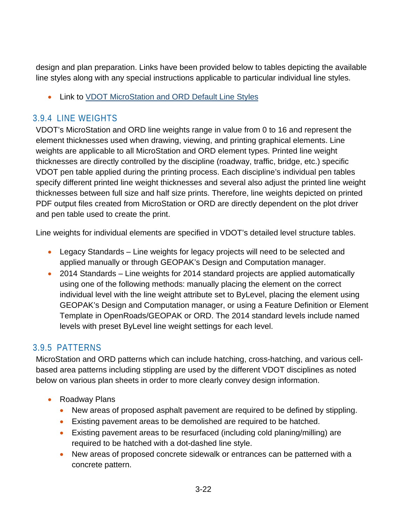design and plan preparation. Links have been provided below to tables depicting the available line styles along with any special instructions applicable to particular individual line styles.

• Link to [VDOT MicroStation and ORD Default Line Styles](https://www.virginiadot.org/business/resources/LocDes/CADDManual/File/Default_Microstation_Line_Styles.pdf)

#### <span id="page-24-0"></span>3.9.4 LINE WEIGHTS

VDOT's MicroStation and ORD line weights range in value from 0 to 16 and represent the element thicknesses used when drawing, viewing, and printing graphical elements. Line weights are applicable to all MicroStation and ORD element types. Printed line weight thicknesses are directly controlled by the discipline (roadway, traffic, bridge, etc.) specific VDOT pen table applied during the printing process. Each discipline's individual pen tables specify different printed line weight thicknesses and several also adjust the printed line weight thicknesses between full size and half size prints. Therefore, line weights depicted on printed PDF output files created from MicroStation or ORD are directly dependent on the plot driver and pen table used to create the print.

Line weights for individual elements are specified in VDOT's detailed level structure tables.

- Legacy Standards Line weights for legacy projects will need to be selected and applied manually or through GEOPAK's Design and Computation manager.
- 2014 Standards Line weights for 2014 standard projects are applied automatically using one of the following methods: manually placing the element on the correct individual level with the line weight attribute set to ByLevel, placing the element using GEOPAK's Design and Computation manager, or using a Feature Definition or Element Template in OpenRoads/GEOPAK or ORD. The 2014 standard levels include named levels with preset ByLevel line weight settings for each level.

#### <span id="page-24-1"></span>3.9.5 PATTERNS

MicroStation and ORD patterns which can include hatching, cross-hatching, and various cellbased area patterns including stippling are used by the different VDOT disciplines as noted below on various plan sheets in order to more clearly convey design information.

- Roadway Plans
	- New areas of proposed asphalt pavement are required to be defined by stippling.
	- Existing pavement areas to be demolished are required to be hatched.
	- Existing pavement areas to be resurfaced (including cold planing/milling) are required to be hatched with a dot-dashed line style.
	- New areas of proposed concrete sidewalk or entrances can be patterned with a concrete pattern.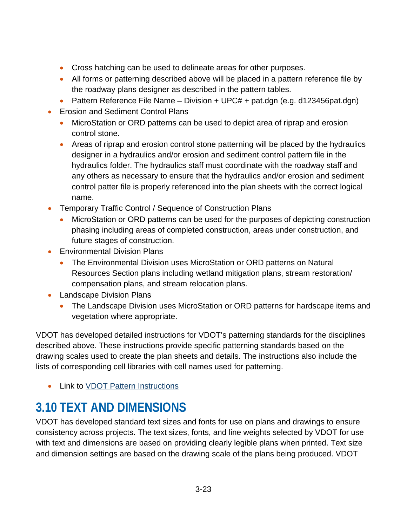- Cross hatching can be used to delineate areas for other purposes.
- All forms or patterning described above will be placed in a pattern reference file by the roadway plans designer as described in the pattern tables.
- Pattern Reference File Name Division + UPC# + pat.dgn (e.g. d123456pat.dgn)
- Erosion and Sediment Control Plans
	- MicroStation or ORD patterns can be used to depict area of riprap and erosion control stone.
	- Areas of riprap and erosion control stone patterning will be placed by the hydraulics designer in a hydraulics and/or erosion and sediment control pattern file in the hydraulics folder. The hydraulics staff must coordinate with the roadway staff and any others as necessary to ensure that the hydraulics and/or erosion and sediment control patter file is properly referenced into the plan sheets with the correct logical name.
- Temporary Traffic Control / Sequence of Construction Plans
	- MicroStation or ORD patterns can be used for the purposes of depicting construction phasing including areas of completed construction, areas under construction, and future stages of construction.
- Environmental Division Plans
	- The Environmental Division uses MicroStation or ORD patterns on Natural Resources Section plans including wetland mitigation plans, stream restoration/ compensation plans, and stream relocation plans.
- Landscape Division Plans
	- The Landscape Division uses MicroStation or ORD patterns for hardscape items and vegetation where appropriate.

VDOT has developed detailed instructions for VDOT's patterning standards for the disciplines described above. These instructions provide specific patterning standards based on the drawing scales used to create the plan sheets and details. The instructions also include the lists of corresponding cell libraries with cell names used for patterning.

• Link to [VDOT Pattern Instructions](https://www.virginiadot.org/business/resources/LocDes/CADDManual/File/Patterning.pdf)

# <span id="page-25-0"></span>**3.10 TEXT AND DIMENSIONS**

VDOT has developed standard text sizes and fonts for use on plans and drawings to ensure consistency across projects. The text sizes, fonts, and line weights selected by VDOT for use with text and dimensions are based on providing clearly legible plans when printed. Text size and dimension settings are based on the drawing scale of the plans being produced. VDOT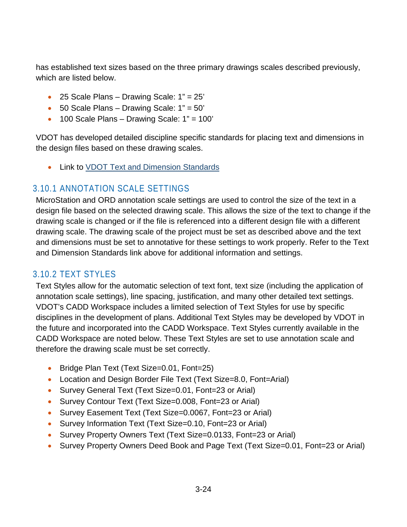has established text sizes based on the three primary drawings scales described previously, which are listed below.

- 25 Scale Plans Drawing Scale:  $1" = 25'$
- $\bullet$  50 Scale Plans Drawing Scale: 1" = 50'
- 100 Scale Plans Drawing Scale: 1" = 100'

VDOT has developed detailed discipline specific standards for placing text and dimensions in the design files based on these drawing scales.

• Link to **VDOT Text and Dimension Standards** 

#### <span id="page-26-0"></span>3.10.1 ANNOTATION SCALE SETTINGS

MicroStation and ORD annotation scale settings are used to control the size of the text in a design file based on the selected drawing scale. This allows the size of the text to change if the drawing scale is changed or if the file is referenced into a different design file with a different drawing scale. The drawing scale of the project must be set as described above and the text and dimensions must be set to annotative for these settings to work properly. Refer to the Text and Dimension Standards link above for additional information and settings.

#### <span id="page-26-1"></span>3.10.2 TEXT STYLES

Text Styles allow for the automatic selection of text font, text size (including the application of annotation scale settings), line spacing, justification, and many other detailed text settings. VDOT's CADD Workspace includes a limited selection of Text Styles for use by specific disciplines in the development of plans. Additional Text Styles may be developed by VDOT in the future and incorporated into the CADD Workspace. Text Styles currently available in the CADD Workspace are noted below. These Text Styles are set to use annotation scale and therefore the drawing scale must be set correctly.

- Bridge Plan Text (Text Size=0.01, Font=25)
- Location and Design Border File Text (Text Size=8.0, Font=Arial)
- Survey General Text (Text Size=0.01, Font=23 or Arial)
- Survey Contour Text (Text Size=0.008, Font=23 or Arial)
- Survey Easement Text (Text Size=0.0067, Font=23 or Arial)
- Survey Information Text (Text Size=0.10, Font=23 or Arial)
- Survey Property Owners Text (Text Size=0.0133, Font=23 or Arial)
- Survey Property Owners Deed Book and Page Text (Text Size=0.01, Font=23 or Arial)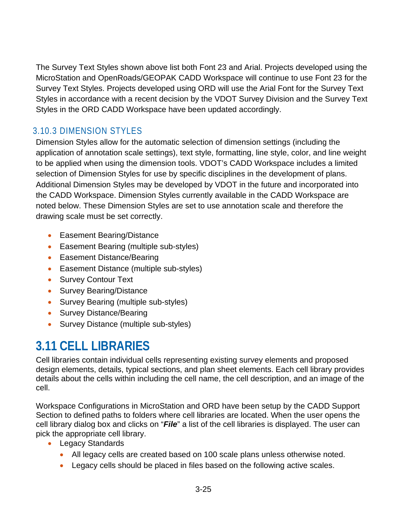The Survey Text Styles shown above list both Font 23 and Arial. Projects developed using the MicroStation and OpenRoads/GEOPAK CADD Workspace will continue to use Font 23 for the Survey Text Styles. Projects developed using ORD will use the Arial Font for the Survey Text Styles in accordance with a recent decision by the VDOT Survey Division and the Survey Text Styles in the ORD CADD Workspace have been updated accordingly.

## <span id="page-27-0"></span>3.10.3 DIMENSION STYLES

Dimension Styles allow for the automatic selection of dimension settings (including the application of annotation scale settings), text style, formatting, line style, color, and line weight to be applied when using the dimension tools. VDOT's CADD Workspace includes a limited selection of Dimension Styles for use by specific disciplines in the development of plans. Additional Dimension Styles may be developed by VDOT in the future and incorporated into the CADD Workspace. Dimension Styles currently available in the CADD Workspace are noted below. These Dimension Styles are set to use annotation scale and therefore the drawing scale must be set correctly.

- Easement Bearing/Distance
- Easement Bearing (multiple sub-styles)
- Easement Distance/Bearing
- Easement Distance (multiple sub-styles)
- Survey Contour Text
- Survey Bearing/Distance
- Survey Bearing (multiple sub-styles)
- Survey Distance/Bearing
- Survey Distance (multiple sub-styles)

# <span id="page-27-1"></span>**3.11 CELL LIBRARIES**

Cell libraries contain individual cells representing existing survey elements and proposed design elements, details, typical sections, and plan sheet elements. Each cell library provides details about the cells within including the cell name, the cell description, and an image of the cell.

Workspace Configurations in MicroStation and ORD have been setup by the CADD Support Section to defined paths to folders where cell libraries are located. When the user opens the cell library dialog box and clicks on "*File*" a list of the cell libraries is displayed. The user can pick the appropriate cell library.

- Legacy Standards
	- All legacy cells are created based on 100 scale plans unless otherwise noted.
	- Legacy cells should be placed in files based on the following active scales.